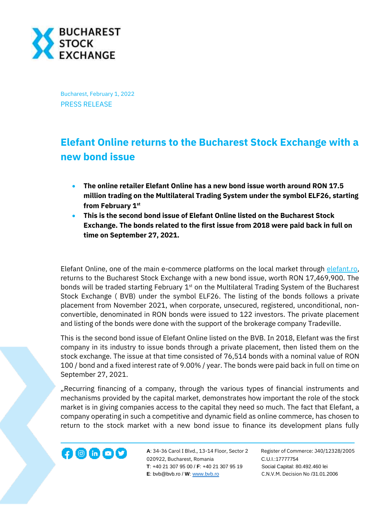

Bucharest, February 1, 2022 PRESS RELEASE

## **Elefant Online returns to the Bucharest Stock Exchange with a new bond issue**

- **The online retailer Elefant Online has a new bond issue worth around RON 17.5 million trading on the Multilateral Trading System under the symbol ELF26, starting from February 1st**
- **This is the second bond issue of Elefant Online listed on the Bucharest Stock Exchange. The bonds related to the first issue from 2018 were paid back in full on time on September 27, 2021.**

Elefant Online, one of the main e-commerce platforms on the local market through [elefant.ro,](https://www.elefant.ro/) returns to the Bucharest Stock Exchange with a new bond issue, worth RON 17,469,900. The bonds will be traded starting February 1<sup>st</sup> on the Multilateral Trading System of the Bucharest Stock Exchange ( BVB) under the symbol ELF26. The listing of the bonds follows a private placement from November 2021, when corporate, unsecured, registered, unconditional, nonconvertible, denominated in RON bonds were issued to 122 investors. The private placement and listing of the bonds were done with the support of the brokerage company Tradeville.

This is the second bond issue of Elefant Online listed on the BVB. In 2018, Elefant was the first company in its industry to issue bonds through a private placement, then listed them on the stock exchange. The issue at that time consisted of 76,514 bonds with a nominal value of RON 100 / bond and a fixed interest rate of 9.00% / year. The bonds were paid back in full on time on September 27, 2021.

"Recurring financing of a company, through the various types of financial instruments and mechanisms provided by the capital market, demonstrates how important the role of the stock market is in giving companies access to the capital they need so much. The fact that Elefant, a company operating in such a competitive and dynamic field as online commerce, has chosen to return to the stock market with a new bond issue to finance its development plans fully



**A**: 34-36 Carol I Blvd., 13-14 Floor, Sector 2 Register of Commerce: J40/12328/2005 020922, Bucharest, Romania C.U.I.:17777754  **T**: +40 21 307 95 00 / **F**: +40 21 307 95 19 Social Capital: 80.492.460 lei **E**: bvb@bvb.ro / **W**[: www.bvb.ro](http://www.bvb.ro/) C.N.V.M. Decision No /31.01.2006